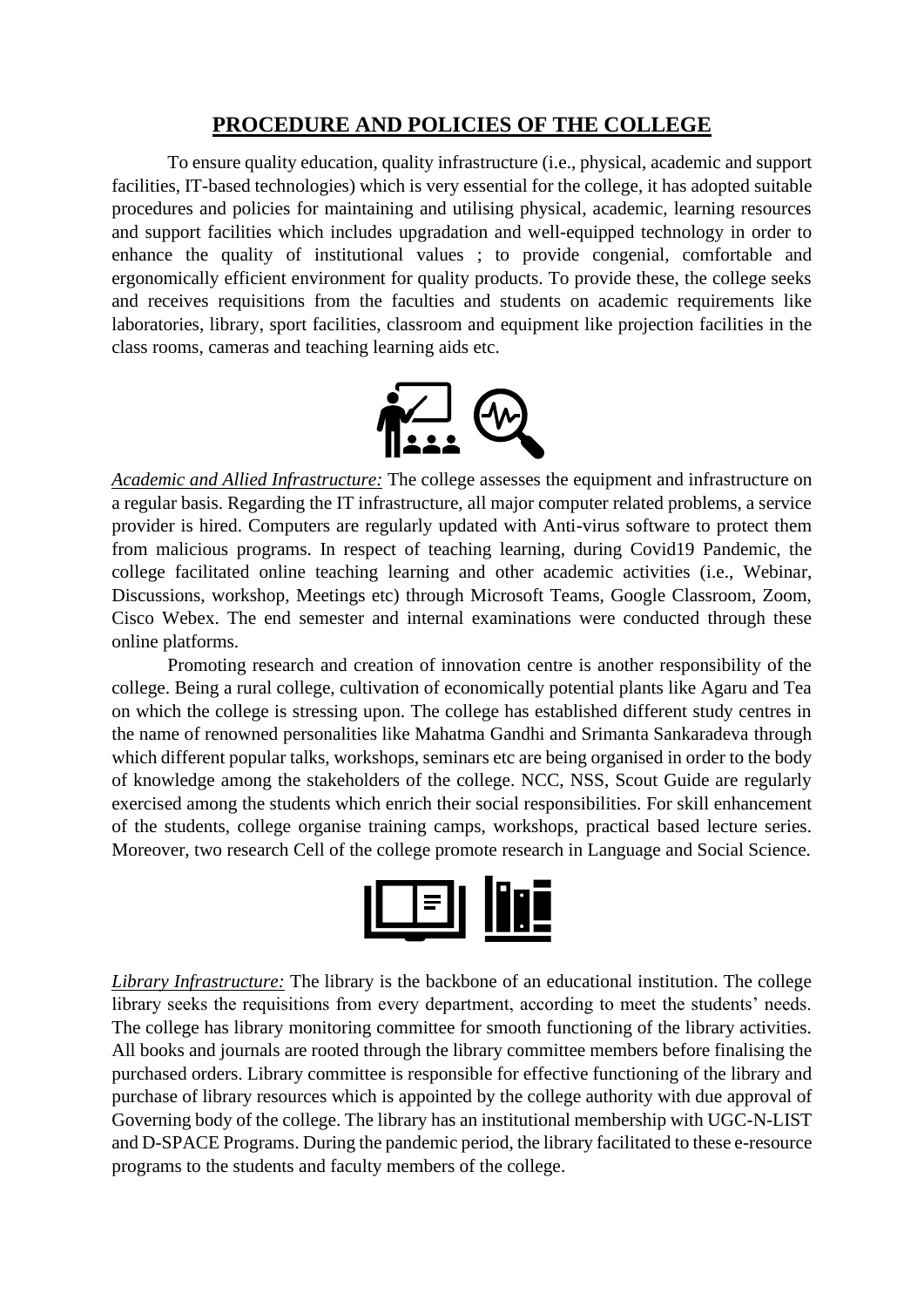## **PROCEDURE AND POLICIES OF THE COLLEGE**

To ensure quality education, quality infrastructure (i.e., physical, academic and support facilities, IT-based technologies) which is very essential for the college, it has adopted suitable procedures and policies for maintaining and utilising physical, academic, learning resources and support facilities which includes upgradation and well-equipped technology in order to enhance the quality of institutional values ; to provide congenial, comfortable and ergonomically efficient environment for quality products. To provide these, the college seeks and receives requisitions from the faculties and students on academic requirements like laboratories, library, sport facilities, classroom and equipment like projection facilities in the class rooms, cameras and teaching learning aids etc.



*Academic and Allied Infrastructure:* The college assesses the equipment and infrastructure on a regular basis. Regarding the IT infrastructure, all major computer related problems, a service provider is hired. Computers are regularly updated with Anti-virus software to protect them from malicious programs. In respect of teaching learning, during Covid19 Pandemic, the college facilitated online teaching learning and other academic activities (i.e., Webinar, Discussions, workshop, Meetings etc) through Microsoft Teams, Google Classroom, Zoom, Cisco Webex. The end semester and internal examinations were conducted through these online platforms.

Promoting research and creation of innovation centre is another responsibility of the college. Being a rural college, cultivation of economically potential plants like Agaru and Tea on which the college is stressing upon. The college has established different study centres in the name of renowned personalities like Mahatma Gandhi and Srimanta Sankaradeva through which different popular talks, workshops, seminars etc are being organised in order to the body of knowledge among the stakeholders of the college. NCC, NSS, Scout Guide are regularly exercised among the students which enrich their social responsibilities. For skill enhancement of the students, college organise training camps, workshops, practical based lecture series. Moreover, two research Cell of the college promote research in Language and Social Science.



*Library Infrastructure:* The library is the backbone of an educational institution. The college library seeks the requisitions from every department, according to meet the students' needs. The college has library monitoring committee for smooth functioning of the library activities. All books and journals are rooted through the library committee members before finalising the purchased orders. Library committee is responsible for effective functioning of the library and purchase of library resources which is appointed by the college authority with due approval of Governing body of the college. The library has an institutional membership with UGC-N-LIST and D-SPACE Programs. During the pandemic period, the library facilitated to these e-resource programs to the students and faculty members of the college.